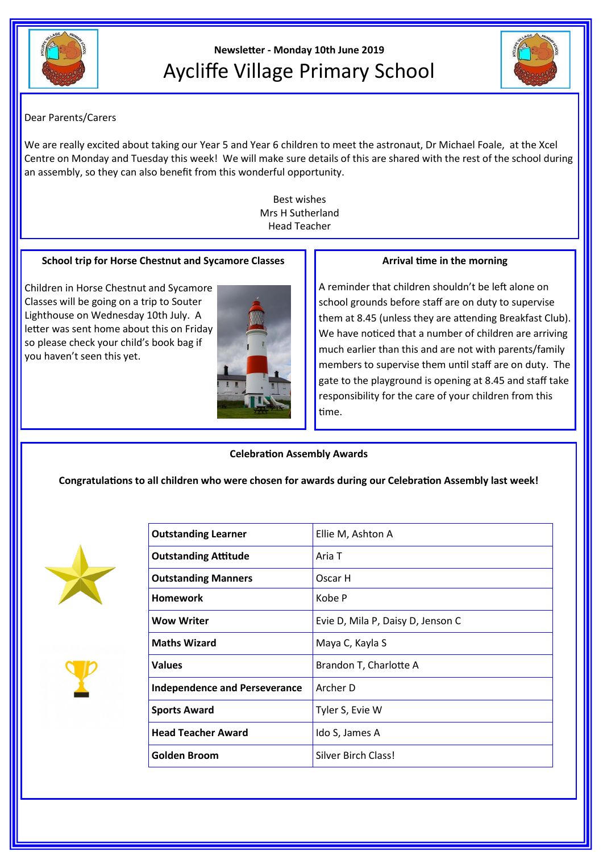

# **Newsletter - Monday 10th June 2019** Aycliffe Village Primary School



# Dear Parents/Carers

We are really excited about taking our Year 5 and Year 6 children to meet the astronaut, Dr Michael Foale, at the Xcel Centre on Monday and Tuesday this week! We will make sure details of this are shared with the rest of the school during an assembly, so they can also benefit from this wonderful opportunity.

> Best wishes Mrs H Sutherland Head Teacher

## **School trip for Horse Chestnut and Sycamore Classes**

Children in Horse Chestnut and Sycamore Classes will be going on a trip to Souter Lighthouse on Wednesday 10th July. A letter was sent home about this on Friday so please check your child's book bag if you haven't seen this yet.



#### **Arrival time in the morning**

A reminder that children shouldn't be left alone on school grounds before staff are on duty to supervise them at 8.45 (unless they are attending Breakfast Club). We have noticed that a number of children are arriving much earlier than this and are not with parents/family members to supervise them until staff are on duty. The gate to the playground is opening at 8.45 and staff take responsibility for the care of your children from this time.

**Celebration Assembly Awards**

**Congratulations to all children who were chosen for awards during our Celebration Assembly last week!**





| <b>Outstanding Learner</b>           | Ellie M, Ashton A                 |
|--------------------------------------|-----------------------------------|
| <b>Outstanding Attitude</b>          | Aria T                            |
| <b>Outstanding Manners</b>           | Oscar H                           |
| Homework                             | Kobe P                            |
| <b>Wow Writer</b>                    | Evie D, Mila P, Daisy D, Jenson C |
| <b>Maths Wizard</b>                  | Maya C, Kayla S                   |
| <b>Values</b>                        | Brandon T, Charlotte A            |
| <b>Independence and Perseverance</b> | Archer D                          |
| <b>Sports Award</b>                  | Tyler S, Evie W                   |
| <b>Head Teacher Award</b>            | Ido S, James A                    |
| Golden Broom                         | Silver Birch Class!               |
|                                      |                                   |